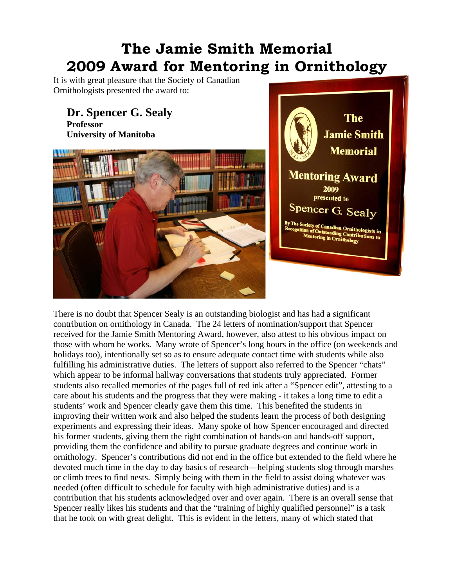## **The Jamie Smith Memorial 2009 Award for Mentoring in Ornithology**

It is with great pleasure that the Society of Canadian Ornithologists presented the award to:

## **Dr. Spencer G. Sealy Professor**

**University of Manitoba** 



There is no doubt that Spencer Sealy is an outstanding biologist and has had a significant contribution on ornithology in Canada. The 24 letters of nomination/support that Spencer received for the Jamie Smith Mentoring Award, however, also attest to his obvious impact on those with whom he works. Many wrote of Spencer's long hours in the office (on weekends and holidays too), intentionally set so as to ensure adequate contact time with students while also fulfilling his administrative duties. The letters of support also referred to the Spencer "chats" which appear to be informal hallway conversations that students truly appreciated. Former students also recalled memories of the pages full of red ink after a "Spencer edit", attesting to a care about his students and the progress that they were making - it takes a long time to edit a students' work and Spencer clearly gave them this time. This benefited the students in improving their written work and also helped the students learn the process of both designing experiments and expressing their ideas. Many spoke of how Spencer encouraged and directed his former students, giving them the right combination of hands-on and hands-off support, providing them the confidence and ability to pursue graduate degrees and continue work in ornithology. Spencer's contributions did not end in the office but extended to the field where he devoted much time in the day to day basics of research—helping students slog through marshes or climb trees to find nests. Simply being with them in the field to assist doing whatever was needed (often difficult to schedule for faculty with high administrative duties) and is a contribution that his students acknowledged over and over again. There is an overall sense that Spencer really likes his students and that the "training of highly qualified personnel" is a task that he took on with great delight. This is evident in the letters, many of which stated that